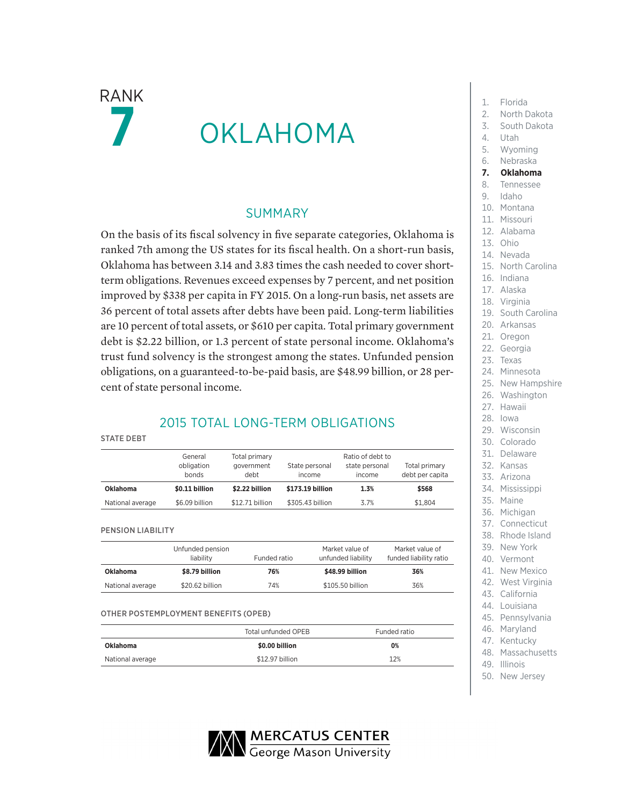$\mathsf{RANK}$   $\blacksquare$   $\blacksquare$  Florida OKLAHOMA

### SUMMARY

On the basis of its fiscal solvency in five separate categories, Oklahoma is ranked 7th among the US states for its fiscal health. On a short-run basis, Oklahoma has between 3.14 and 3.83 times the cash needed to cover shortterm obligations. Revenues exceed expenses by 7 percent, and net position improved by \$338 per capita in FY 2015. On a long-run basis, net assets are 36 percent of total assets after debts have been paid. Long-term liabilities are 10 percent of total assets, or \$610 per capita. Total primary government debt is \$2.22 billion, or 1.3 percent of state personal income. Oklahoma's trust fund solvency is the strongest among the states. Unfunded pension obligations, on a guaranteed-to-be-paid basis, are \$48.99 billion, or 28 percent of state personal income.

### 2015 TOTAL LONG-TERM OBLIGATIONS

#### STATE DEBT

|                  | Total primary<br>General<br>obligation<br>government<br>bonds<br>debt |                 | Ratio of debt to<br>Total primary<br>State personal<br>state personal<br>debt per capita<br>income<br>income |      |         |  |  |
|------------------|-----------------------------------------------------------------------|-----------------|--------------------------------------------------------------------------------------------------------------|------|---------|--|--|
| <b>Oklahoma</b>  | \$0.11 billion                                                        | \$2.22 billion  | \$173.19 billion                                                                                             | 1.3% | \$568   |  |  |
| National average | \$6.09 billion                                                        | \$12.71 billion | \$305,43 billion                                                                                             | 3.7% | \$1.804 |  |  |

PENSION LIABILITY

|                  | Unfunded pension<br>liability | Funded ratio | Market value of<br>unfunded liability | Market value of<br>funded liability ratio |
|------------------|-------------------------------|--------------|---------------------------------------|-------------------------------------------|
| <b>Oklahoma</b>  | \$8.79 billion                | 76%          | \$48.99 billion                       | 36%                                       |
| National average | \$20.62 billion               | 74%          | \$105.50 billion                      | 36%                                       |

### OTHER POSTEMPLOYMENT BENEFITS (OPEB)

|                  | Total unfunded OPEB | Funded ratio |  |  |
|------------------|---------------------|--------------|--|--|
| Oklahoma         | \$0.00 billion      | 0%           |  |  |
| National average | \$12.97 billion     | 12%          |  |  |

- 
- 2. North Dakota
- 3. South Dakota
- 4. Utah
- 5. Wyoming
- 6. Nebraska
- **7. Oklahoma**
- 8. Tennessee
- 9. Idaho
- 10. Montana
- 11. Missouri
- 12. Alabama
- 13. Ohio
- 14. Nevada
- 15. North Carolina
- 16. Indiana
- 17. Alaska
- 18. Virginia
- 19. South Carolina
- 20. Arkansas
- 21. Oregon
- 22. Georgia
- 23. Texas
- 24. Minnesota
- 25. New Hampshire
- 26. Washington
- 27. Hawaii
- 28. Iowa
- 29. Wisconsin
- 30. Colorado
- 31. Delaware
- 32. Kansas
- 33. Arizona
- 34. Mississippi
- 35. Maine
- 36. Michigan
- 37. Connecticut
- 38. Rhode Island
- 39. New York
- 40. Vermont
- 41. New Mexico
- 42. West Virginia
- 43. California
- 44. Louisiana 45. Pennsylvania
- 46. Maryland
- 47. Kentucky
- 48. Massachusetts
- 49. Illinois
- 50. New Jersey